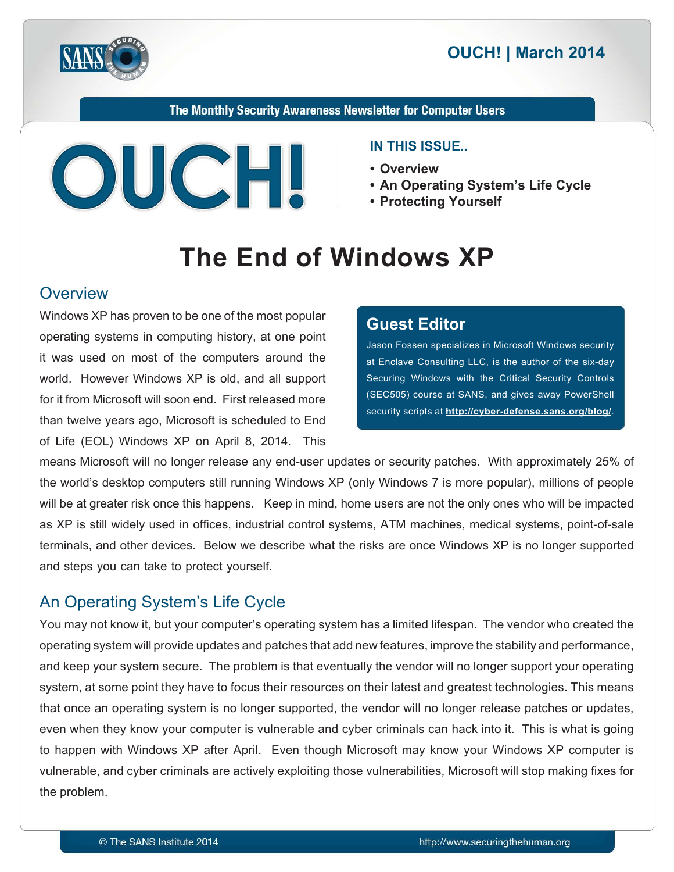

The Monthly Security Awareness Newsletter for Computer Users



#### **IN THIS ISSUE..**

- **Overview•**
- An Operating System's Life Cycle
- **Yourself Protecting•**

# **The End of Windows XP**

#### **Overview**

Windows XP has proven to be one of the most popular operating systems in computing history, at one point it was used on most of the computers around the world. However Windows XP is old, and all support for it from Microsoft will soon end. First released more than twelve years ago, Microsoft is scheduled to End of Life (EOL) Windows XP on April 8, 2014. This

#### **Editor Guest**

Jason Fossen specializes in Microsoft Windows security at Enclave Consulting LLC, is the author of the six-day Securing Windows with the Critical Security Controls (SEC505) course at SANS, and gives away PowerShell security scripts at **http://cyber-defense.sans.org/blog/**.

means Microsoft will no longer release any end-user updates or security patches. With approximately 25% of the world's desktop computers still running Windows XP (only Windows 7 is more popular), millions of people will be at greater risk once this happens. Keep in mind, home users are not the only ones who will be impacted as XP is still widely used in offices, industrial control systems, ATM machines, medical systems, point-of-sale terminals, and other devices. Below we describe what the risks are once Windows XP is no longer supported and steps you can take to protect yourself.

#### An Operating System's Life Cycle

You may not know it, but your computer's operating system has a limited lifespan. The vendor who created the operating system will provide updates and patches that add new features, improve the stability and performance, and keep your system secure. The problem is that eventually the vendor will no longer support your operating system, at some point they have to focus their resources on their latest and greatest technologies. This means that once an operating system is no longer supported, the vendor will no longer release patches or updates, even when they know your computer is vulnerable and cyber criminals can hack into it. This is what is going to happen with Windows XP after April. Even though Microsoft may know your Windows XP computer is vulnerable, and cyber criminals are actively exploiting those vulnerabilities, Microsoft will stop making fixes for the problem.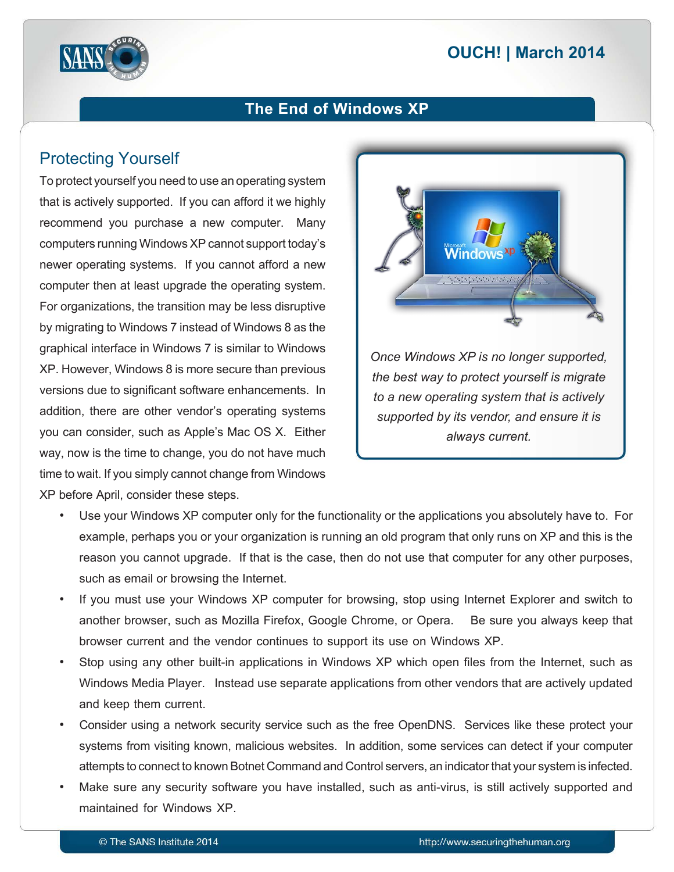# **2014 | OUCH! | March 2014**



#### **The End of Windows XP**

## **Protecting Yourself**

To protect yourself you need to use an operating system that is actively supported. If you can afford it we highly recommend you purchase a new computer. Many computers running Windows XP cannot support today's newer operating systems. If you cannot afford a new computer then at least upgrade the operating system. For organizations, the transition may be less disruptive by migrating to Windows 7 instead of Windows 8 as the graphical interface in Windows 7 is similar to Windows  $XP.$  However, Windows 8 is more secure than previous versions due to significant software enhancements. In addition, there are other vendor's operating systems you can consider, such as Apple's Mac OS X. Either way, now is the time to change, you do not have much time to wait. If you simply cannot change from Windows XP before April, consider these steps.



- Use your Windows XP computer only for the functionality or the applications you absolutely have to. For example, perhaps you or your organization is running an old program that only runs on XP and this is the reason you cannot upgrade. If that is the case, then do not use that computer for any other purposes, such as email or browsing the Internet.
- If you must use your Windows XP computer for browsing, stop using Internet Explorer and switch to another browser, such as Mozilla Firefox, Google Chrome, or Opera. Be sure you always keep that browser current and the vendor continues to support its use on Windows XP.
- Stop using any other built-in applications in Windows XP which open files from the Internet, such as Windows Media Player. Instead use separate applications from other vendors that are actively updated and keep them current.
- Consider using a network security service such as the free OpenDNS. Services like these protect your systems from visiting known, malicious websites. In addition, some services can detect if your computer attempts to connect to known Botnet Command and Control servers, an indicator that your system is infected.
- Make sure any security software you have installed, such as anti-virus, is still actively supported and maintained for Windows XP.